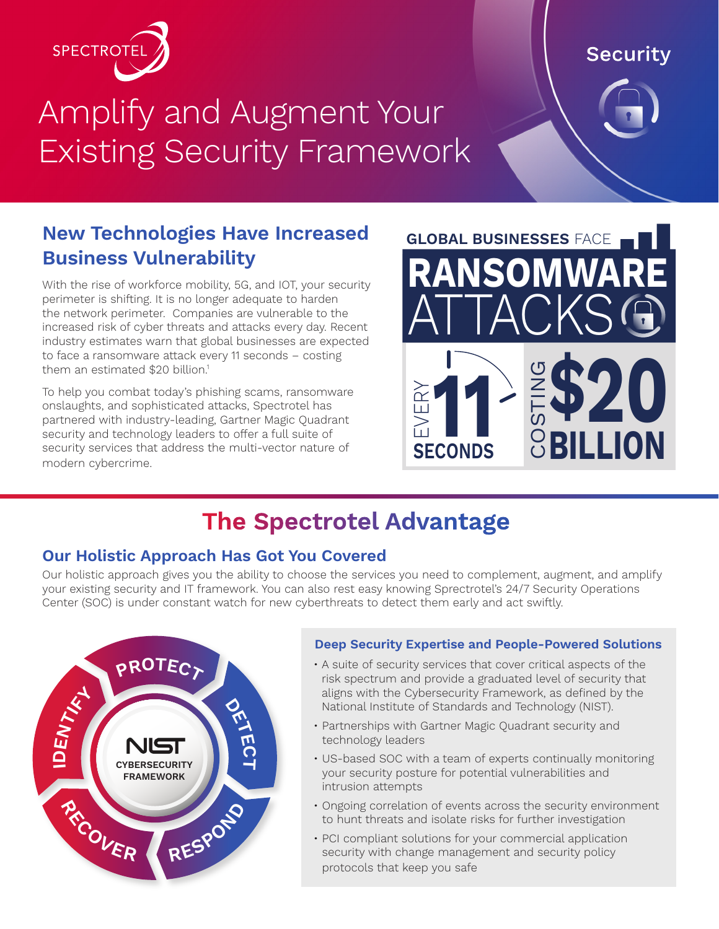

# Amplify and Augment Your Existing Security Framework

## **New Technologies Have Increased Business Vulnerability**

With the rise of workforce mobility, 5G, and IOT, your security perimeter is shifting. It is no longer adequate to harden the network perimeter. Companies are vulnerable to the increased risk of cyber threats and attacks every day. Recent industry estimates warn that global businesses are expected to face a ransomware attack every 11 seconds – costing them an estimated \$20 billion.<sup>1</sup>

To help you combat today's phishing scams, ransomware onslaughts, and sophisticated attacks, Spectrotel has partnered with industry-leading, Gartner Magic Quadrant security and technology leaders to offer a full suite of security services that address the multi-vector nature of modern cybercrime.



# **The Spectrotel Advantage**

#### **Our Holistic Approach Has Got You Covered**

Our holistic approach gives you the ability to choose the services you need to complement, augment, and amplify your existing security and IT framework. You can also rest easy knowing Sprectrotel's 24/7 Security Operations Center (SOC) is under constant watch for new cyberthreats to detect them early and act swiftly.



#### **Deep Security Expertise and People-Powered Solutions**

- A suite of security services that cover critical aspects of the risk spectrum and provide a graduated level of security that aligns with the Cybersecurity Framework, as defined by the National Institute of Standards and Technology (NIST).
- Partnerships with Gartner Magic Quadrant security and technology leaders
- US-based SOC with a team of experts continually monitoring your security posture for potential vulnerabilities and intrusion attempts
- Ongoing correlation of events across the security environment to hunt threats and isolate risks for further investigation
- PCI compliant solutions for your commercial application security with change management and security policy protocols that keep you safe

# **Security**